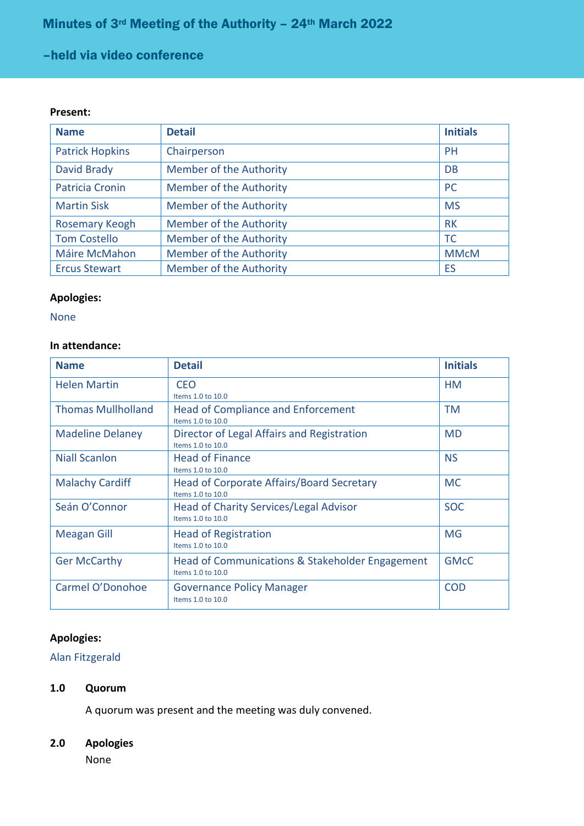# –held via video conference

#### **Present:**

| <b>Name</b>            | <b>Detail</b>                  | <b>Initials</b> |
|------------------------|--------------------------------|-----------------|
| <b>Patrick Hopkins</b> | Chairperson                    | <b>PH</b>       |
| <b>David Brady</b>     | Member of the Authority        | DB              |
| <b>Patricia Cronin</b> | <b>Member of the Authority</b> | <b>PC</b>       |
| <b>Martin Sisk</b>     | Member of the Authority        | <b>MS</b>       |
| Rosemary Keogh         | <b>Member of the Authority</b> | <b>RK</b>       |
| <b>Tom Costello</b>    | <b>Member of the Authority</b> | <b>TC</b>       |
| Máire McMahon          | <b>Member of the Authority</b> | <b>MMcM</b>     |
| <b>Ercus Stewart</b>   | <b>Member of the Authority</b> | ES              |

#### **Apologies:**

None

## **In attendance:**

| <b>Name</b>               | <b>Detail</b>                                                        | <b>Initials</b> |
|---------------------------|----------------------------------------------------------------------|-----------------|
| <b>Helen Martin</b>       | CEO<br>Items 1.0 to 10.0                                             | HM              |
| <b>Thomas Mullholland</b> | Head of Compliance and Enforcement<br>Items 1.0 to 10.0              | <b>TM</b>       |
| <b>Madeline Delaney</b>   | Director of Legal Affairs and Registration<br>Items 1.0 to 10.0      | <b>MD</b>       |
| Niall Scanlon             | <b>Head of Finance</b><br>Items 1.0 to 10.0                          | <b>NS</b>       |
| <b>Malachy Cardiff</b>    | Head of Corporate Affairs/Board Secretary<br>Items 1.0 to 10.0       | <b>MC</b>       |
| Seán O'Connor             | Head of Charity Services/Legal Advisor<br>Items 1.0 to 10.0          | <b>SOC</b>      |
| <b>Meagan Gill</b>        | <b>Head of Registration</b><br>Items 1.0 to 10.0                     | <b>MG</b>       |
| <b>Ger McCarthy</b>       | Head of Communications & Stakeholder Engagement<br>Items 1.0 to 10.0 | <b>GMcC</b>     |
| Carmel O'Donohoe          | <b>Governance Policy Manager</b><br>Items 1.0 to 10.0                | <b>COD</b>      |

## **Apologies:**

## Alan Fitzgerald

#### **1.0 Quorum**

A quorum was present and the meeting was duly convened.

## **2.0 Apologies**

None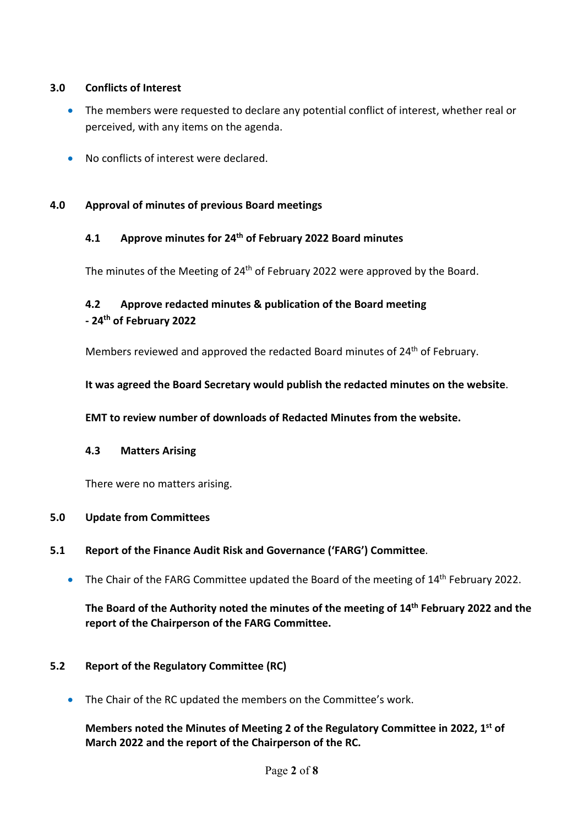## **3.0 Conflicts of Interest**

- The members were requested to declare any potential conflict of interest, whether real or perceived, with any items on the agenda.
- No conflicts of interest were declared.

## **4.0 Approval of minutes of previous Board meetings**

## **4.1 Approve minutes for 24th of February 2022 Board minutes**

The minutes of the Meeting of 24<sup>th</sup> of February 2022 were approved by the Board.

# **4.2 Approve redacted minutes & publication of the Board meeting - 24th of February 2022**

Members reviewed and approved the redacted Board minutes of 24<sup>th</sup> of February.

**It was agreed the Board Secretary would publish the redacted minutes on the website**.

**EMT to review number of downloads of Redacted Minutes from the website.**

#### **4.3 Matters Arising**

There were no matters arising.

#### **5.0 Update from Committees**

#### **5.1 Report of the Finance Audit Risk and Governance ('FARG') Committee**.

• The Chair of the FARG Committee updated the Board of the meeting of 14<sup>th</sup> February 2022.

**The Board of the Authority noted the minutes of the meeting of 14th February 2022 and the report of the Chairperson of the FARG Committee.** 

#### **5.2 Report of the Regulatory Committee (RC)**

• The Chair of the RC updated the members on the Committee's work.

## **Members noted the Minutes of Meeting 2 of the Regulatory Committee in 2022, 1st of March 2022 and the report of the Chairperson of the RC.**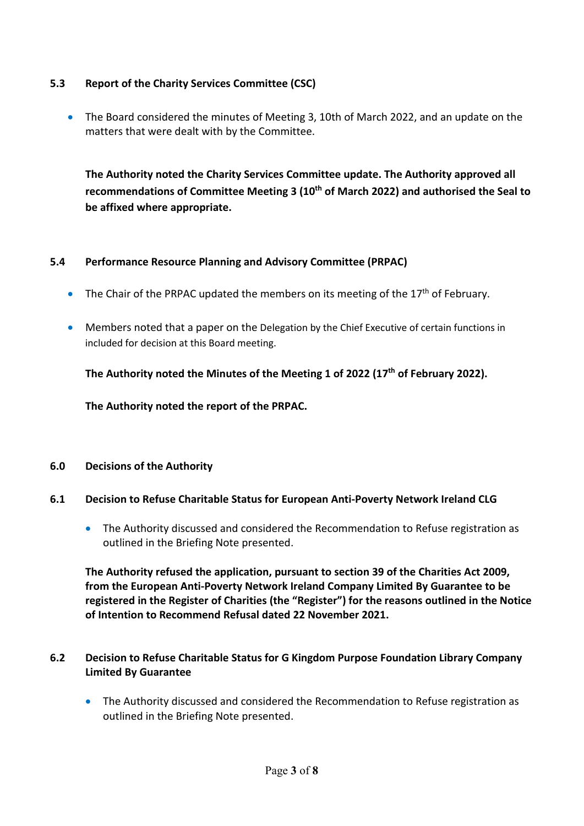## **5.3 Report of the Charity Services Committee (CSC)**

• The Board considered the minutes of Meeting 3, 10th of March 2022, and an update on the matters that were dealt with by the Committee.

**The Authority noted the Charity Services Committee update. The Authority approved all recommendations of Committee Meeting 3 (10th of March 2022) and authorised the Seal to be affixed where appropriate.**

## **5.4 Performance Resource Planning and Advisory Committee (PRPAC)**

- The Chair of the PRPAC updated the members on its meeting of the 17<sup>th</sup> of February.
- Members noted that a paper on the Delegation by the Chief Executive of certain functions in included for decision at this Board meeting.

**The Authority noted the Minutes of the Meeting 1 of 2022 (17th of February 2022).**

**The Authority noted the report of the PRPAC.**

#### **6.0 Decisions of the Authority**

## **6.1 Decision to Refuse Charitable Status for European Anti-Poverty Network Ireland CLG**

• The Authority discussed and considered the Recommendation to Refuse registration as outlined in the Briefing Note presented.

**The Authority refused the application, pursuant to section 39 of the Charities Act 2009, from the European Anti-Poverty Network Ireland Company Limited By Guarantee to be registered in the Register of Charities (the "Register") for the reasons outlined in the Notice of Intention to Recommend Refusal dated 22 November 2021.**

## **6.2 Decision to Refuse Charitable Status for G Kingdom Purpose Foundation Library Company Limited By Guarantee**

• The Authority discussed and considered the Recommendation to Refuse registration as outlined in the Briefing Note presented.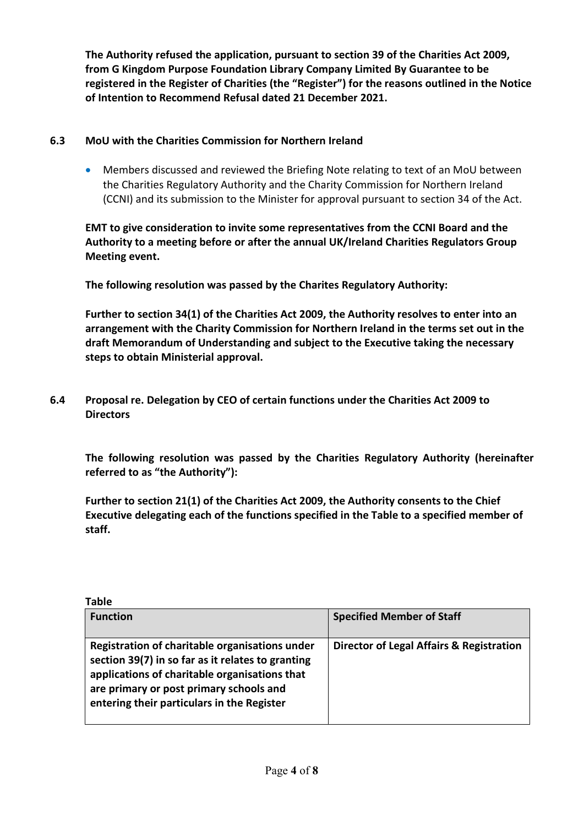**The Authority refused the application, pursuant to section 39 of the Charities Act 2009, from G Kingdom Purpose Foundation Library Company Limited By Guarantee to be registered in the Register of Charities (the "Register") for the reasons outlined in the Notice of Intention to Recommend Refusal dated 21 December 2021.**

## **6.3 MoU with the Charities Commission for Northern Ireland**

• Members discussed and reviewed the Briefing Note relating to text of an MoU between the Charities Regulatory Authority and the Charity Commission for Northern Ireland (CCNI) and its submission to the Minister for approval pursuant to section 34 of the Act.

**EMT to give consideration to invite some representatives from the CCNI Board and the Authority to a meeting before or after the annual UK/Ireland Charities Regulators Group Meeting event.**

**The following resolution was passed by the Charites Regulatory Authority:** 

**Further to section 34(1) of the Charities Act 2009, the Authority resolves to enter into an arrangement with the Charity Commission for Northern Ireland in the terms set out in the draft Memorandum of Understanding and subject to the Executive taking the necessary steps to obtain Ministerial approval.**

**6.4 Proposal re. Delegation by CEO of certain functions under the Charities Act 2009 to Directors**

**The following resolution was passed by the Charities Regulatory Authority (hereinafter referred to as "the Authority"):**

**Further to section 21(1) of the Charities Act 2009, the Authority consents to the Chief Executive delegating each of the functions specified in the Table to a specified member of staff.**

| <b>Table</b>                                                                                                                                                                                                                                  |                                          |
|-----------------------------------------------------------------------------------------------------------------------------------------------------------------------------------------------------------------------------------------------|------------------------------------------|
| <b>Function</b>                                                                                                                                                                                                                               | <b>Specified Member of Staff</b>         |
| Registration of charitable organisations under<br>section 39(7) in so far as it relates to granting<br>applications of charitable organisations that<br>are primary or post primary schools and<br>entering their particulars in the Register | Director of Legal Affairs & Registration |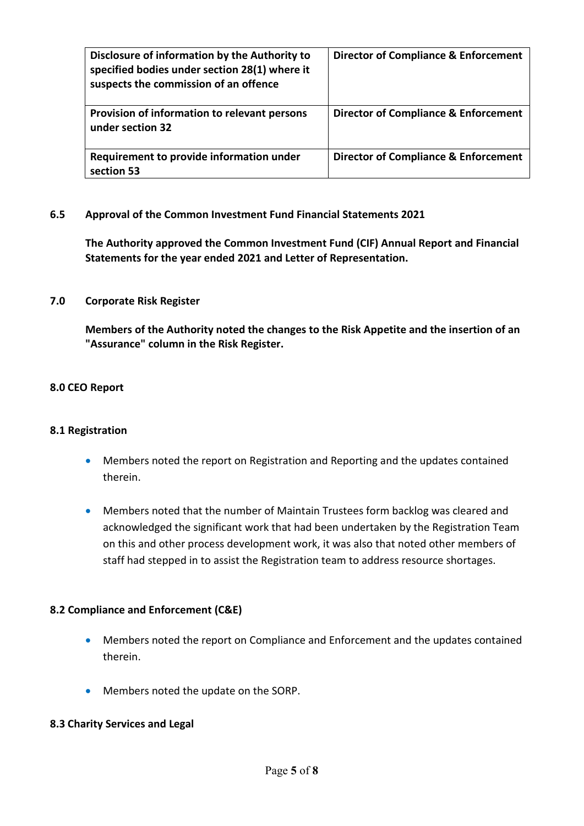| Disclosure of information by the Authority to<br>specified bodies under section 28(1) where it<br>suspects the commission of an offence | <b>Director of Compliance &amp; Enforcement</b> |
|-----------------------------------------------------------------------------------------------------------------------------------------|-------------------------------------------------|
| Provision of information to relevant persons<br>under section 32                                                                        | <b>Director of Compliance &amp; Enforcement</b> |
| Requirement to provide information under<br>section 53                                                                                  | <b>Director of Compliance &amp; Enforcement</b> |

## **6.5 Approval of the Common Investment Fund Financial Statements 2021**

**The Authority approved the Common Investment Fund (CIF) Annual Report and Financial Statements for the year ended 2021 and Letter of Representation.**

#### **7.0 Corporate Risk Register**

**Members of the Authority noted the changes to the Risk Appetite and the insertion of an "Assurance" column in the Risk Register.**

#### **8.0 CEO Report**

#### **8.1 Registration**

- Members noted the report on Registration and Reporting and the updates contained therein.
- Members noted that the number of Maintain Trustees form backlog was cleared and acknowledged the significant work that had been undertaken by the Registration Team on this and other process development work, it was also that noted other members of staff had stepped in to assist the Registration team to address resource shortages.

#### **8.2 Compliance and Enforcement (C&E)**

- Members noted the report on Compliance and Enforcement and the updates contained therein.
- Members noted the update on the SORP.

#### **8.3 Charity Services and Legal**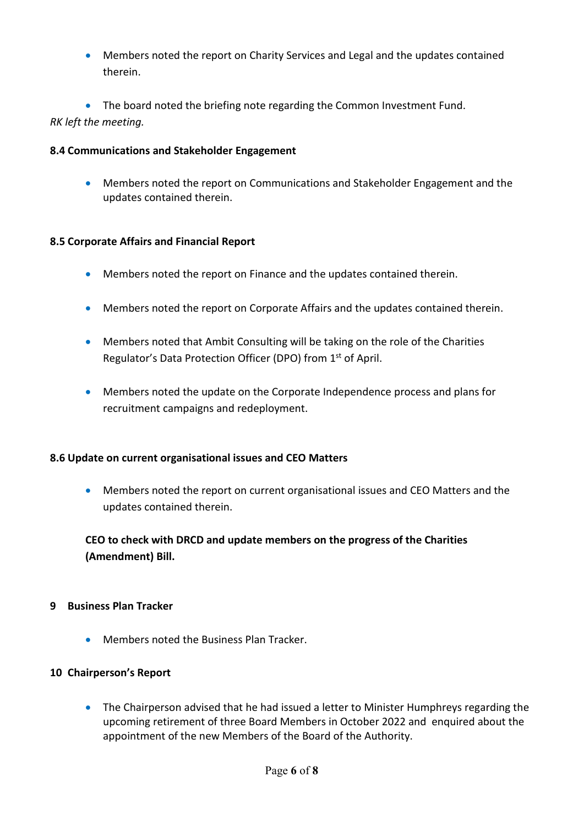• Members noted the report on Charity Services and Legal and the updates contained therein.

• The board noted the briefing note regarding the Common Investment Fund. *RK left the meeting.*

## **8.4 Communications and Stakeholder Engagement**

• Members noted the report on Communications and Stakeholder Engagement and the updates contained therein.

## **8.5 Corporate Affairs and Financial Report**

- Members noted the report on Finance and the updates contained therein.
- Members noted the report on Corporate Affairs and the updates contained therein.
- Members noted that Ambit Consulting will be taking on the role of the Charities Regulator's Data Protection Officer (DPO) from 1st of April.
- Members noted the update on the Corporate Independence process and plans for recruitment campaigns and redeployment.

## **8.6 Update on current organisational issues and CEO Matters**

• Members noted the report on current organisational issues and CEO Matters and the updates contained therein.

**CEO to check with DRCD and update members on the progress of the Charities (Amendment) Bill.**

## **9 Business Plan Tracker**

• Members noted the Business Plan Tracker.

#### **10 Chairperson's Report**

• The Chairperson advised that he had issued a letter to Minister Humphreys regarding the upcoming retirement of three Board Members in October 2022 and enquired about the appointment of the new Members of the Board of the Authority.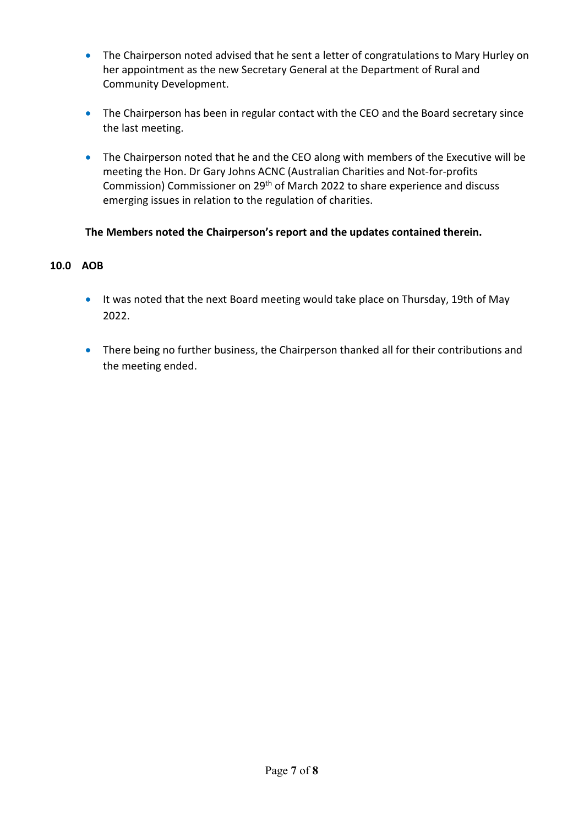- The Chairperson noted advised that he sent a letter of congratulations to Mary Hurley on her appointment as the new Secretary General at the Department of Rural and Community Development.
- The Chairperson has been in regular contact with the CEO and the Board secretary since the last meeting.
- The Chairperson noted that he and the CEO along with members of the Executive will be meeting the Hon. Dr Gary Johns ACNC (Australian Charities and Not-for-profits Commission) Commissioner on 29<sup>th</sup> of March 2022 to share experience and discuss emerging issues in relation to the regulation of charities.

# **The Members noted the Chairperson's report and the updates contained therein.**

## **10.0 AOB**

- It was noted that the next Board meeting would take place on Thursday, 19th of May 2022.
- There being no further business, the Chairperson thanked all for their contributions and the meeting ended.